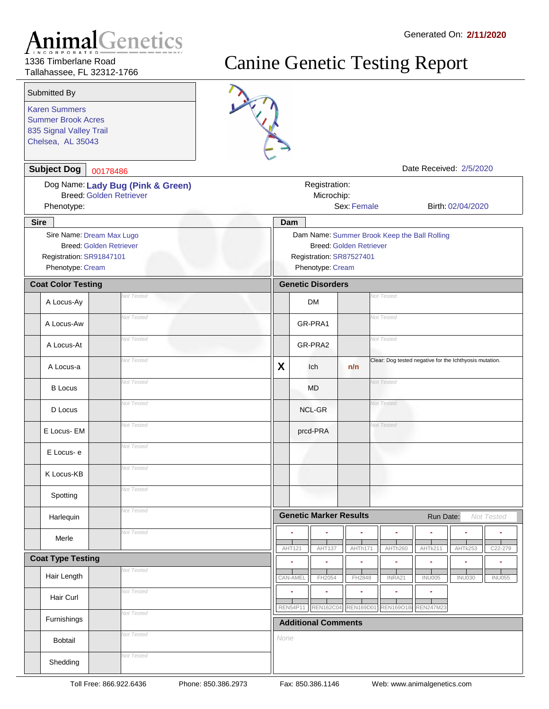1336 Timberlane Road Tallahassee, FL 32312-1766

Karen Summers

Submitted By

835 Signal Valley Trail Chelsea, AL 35043

Summer Brook Acres

| <b>Subject Dog</b>                                                                                          | 00178486                                                            |      |                                                                                                                                |                  |                                                         | Date Received: 2/5/2020 |                   |               |  |
|-------------------------------------------------------------------------------------------------------------|---------------------------------------------------------------------|------|--------------------------------------------------------------------------------------------------------------------------------|------------------|---------------------------------------------------------|-------------------------|-------------------|---------------|--|
| Phenotype:                                                                                                  | Dog Name: Lady Bug (Pink & Green)<br><b>Breed: Golden Retriever</b> |      | Registration:<br>Microchip:                                                                                                    | Sex: Female      |                                                         |                         | Birth: 02/04/2020 |               |  |
| <b>Sire</b>                                                                                                 |                                                                     |      | Dam                                                                                                                            |                  |                                                         |                         |                   |               |  |
| Sire Name: Dream Max Lugo<br><b>Breed: Golden Retriever</b><br>Registration: SR91847101<br>Phenotype: Cream |                                                                     |      | Dam Name: Summer Brook Keep the Ball Rolling<br><b>Breed: Golden Retriever</b><br>Registration: SR87527401<br>Phenotype: Cream |                  |                                                         |                         |                   |               |  |
| <b>Coat Color Testing</b>                                                                                   |                                                                     |      | <b>Genetic Disorders</b>                                                                                                       |                  |                                                         |                         |                   |               |  |
| A Locus-Ay                                                                                                  | Vot Tested                                                          |      | <b>DM</b>                                                                                                                      |                  | <b>Not Tested</b>                                       |                         |                   |               |  |
| A Locus-Aw                                                                                                  | <b>Not Tested</b>                                                   |      | GR-PRA1                                                                                                                        |                  | <b>Not Tested</b>                                       |                         |                   |               |  |
| A Locus-At                                                                                                  | <b>Not Tested</b>                                                   |      | GR-PRA2                                                                                                                        |                  | <b>Not Tested</b>                                       |                         |                   |               |  |
| A Locus-a                                                                                                   | <b>Not Tested</b>                                                   | X    | Ich                                                                                                                            | n/n              | Clear: Dog tested negative for the Ichthyosis mutation. |                         |                   |               |  |
| <b>B</b> Locus                                                                                              | <b>Not Tested</b>                                                   |      | MD                                                                                                                             |                  | <b>Not Tested</b>                                       |                         |                   |               |  |
| D Locus                                                                                                     | <b>Not Tested</b>                                                   |      | <b>NCL-GR</b>                                                                                                                  |                  | <b>Vot Tested</b>                                       |                         |                   |               |  |
| E Locus- EM                                                                                                 | <b>Not Tested</b>                                                   |      | prcd-PRA                                                                                                                       |                  | <b>Vot Tested</b>                                       |                         |                   |               |  |
| E Locus-e                                                                                                   | <b>Not Tested</b>                                                   |      |                                                                                                                                |                  |                                                         |                         |                   |               |  |
| K Locus-KB                                                                                                  | <b>Not Tested</b>                                                   |      |                                                                                                                                |                  |                                                         |                         |                   |               |  |
| Spotting                                                                                                    | <b>Not Tested</b>                                                   |      |                                                                                                                                |                  |                                                         |                         |                   |               |  |
| Harlequin                                                                                                   | <b>Not Tested</b>                                                   |      | <b>Genetic Marker Results</b>                                                                                                  |                  |                                                         | Run Date:               |                   | Not Tested    |  |
| Merle                                                                                                       | <b>Not Tested</b>                                                   |      | AHT121<br>AHT137                                                                                                               | AHTh171          | AHTh260                                                 | AHTk211                 | AHTk253           | C22-279       |  |
| <b>Coat Type Testing</b>                                                                                    |                                                                     |      |                                                                                                                                |                  | ٠                                                       | ۰                       | ٠                 |               |  |
| Hair Length                                                                                                 | <b>Not Tested</b>                                                   |      | CAN-AMEL<br>FH2054                                                                                                             | FH2848           | INRA21                                                  | <b>INU005</b>           | <b>INU030</b>     | <b>INU055</b> |  |
| Hair Curl                                                                                                   | Not Tested                                                          |      | REN54P11<br><b>REN162C04</b>                                                                                                   | <b>REN169D01</b> | ÷<br><b>REN169O18i</b>                                  | ä,<br><b>REN247M23</b>  |                   |               |  |
| Furnishings                                                                                                 | Not Tested                                                          |      | <b>Additional Comments</b>                                                                                                     |                  |                                                         |                         |                   |               |  |
| Bobtail                                                                                                     | <b>Not Tested</b>                                                   | None |                                                                                                                                |                  |                                                         |                         |                   |               |  |
| Shedding                                                                                                    | <b>Not Tested</b>                                                   |      |                                                                                                                                |                  |                                                         |                         |                   |               |  |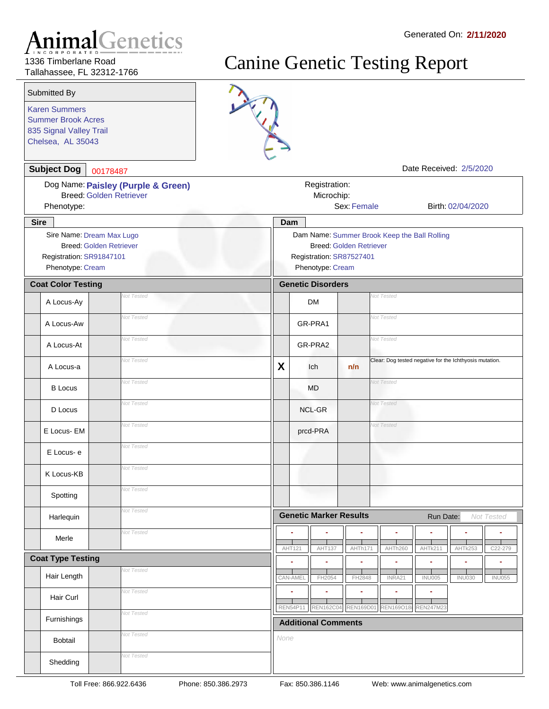1336 Timberlane Road Tallahassee, FL 32312-1766

Karen Summers

Submitted By

835 Signal Valley Trail Chelsea, AL 35043

Summer Brook Acres

| <b>Subject Dog</b>                           | 00178487                                                             |          |                                                                                              |                                |                                                         | Date Received: 2/5/2020 |                   |               |
|----------------------------------------------|----------------------------------------------------------------------|----------|----------------------------------------------------------------------------------------------|--------------------------------|---------------------------------------------------------|-------------------------|-------------------|---------------|
| Phenotype:                                   | Dog Name: Paisley (Purple & Green)<br><b>Breed: Golden Retriever</b> |          | Registration:<br>Microchip:                                                                  | Sex: Female                    |                                                         |                         | Birth: 02/04/2020 |               |
| <b>Sire</b>                                  |                                                                      | Dam      |                                                                                              |                                |                                                         |                         |                   |               |
| Registration: SR91847101<br>Phenotype: Cream | Sire Name: Dream Max Lugo<br><b>Breed: Golden Retriever</b>          |          | Dam Name: Summer Brook Keep the Ball Rolling<br>Registration: SR87527401<br>Phenotype: Cream | <b>Breed: Golden Retriever</b> |                                                         |                         |                   |               |
| <b>Coat Color Testing</b>                    |                                                                      |          | <b>Genetic Disorders</b>                                                                     |                                |                                                         |                         |                   |               |
| A Locus-Ay                                   | <b>Vot Tested</b>                                                    |          | <b>DM</b>                                                                                    |                                | Not Tested                                              |                         |                   |               |
| A Locus-Aw                                   | Not Tested                                                           |          | GR-PRA1                                                                                      |                                | <b>Not Tested</b>                                       |                         |                   |               |
| A Locus-At                                   | Not Tested                                                           |          | GR-PRA2                                                                                      |                                | <b>Not Tested</b>                                       |                         |                   |               |
| A Locus-a                                    | Not Tested                                                           | X        | Ich                                                                                          | n/n                            | Clear: Dog tested negative for the Ichthyosis mutation. |                         |                   |               |
| <b>B</b> Locus                               | Not Tested                                                           |          | <b>MD</b>                                                                                    |                                | <b>Not Tested</b>                                       |                         |                   |               |
| D Locus                                      | Not Tested                                                           |          | <b>NCL-GR</b>                                                                                |                                | <b>Not Tested</b>                                       |                         |                   |               |
| E Locus- EM                                  | Not Tested                                                           |          | prcd-PRA                                                                                     |                                | Vot Tested                                              |                         |                   |               |
| E Locus-e                                    | Not Tested                                                           |          |                                                                                              |                                |                                                         |                         |                   |               |
| K Locus-KB                                   | Not Tested                                                           |          |                                                                                              |                                |                                                         |                         |                   |               |
| Spotting                                     | Not Tested                                                           |          |                                                                                              |                                |                                                         |                         |                   |               |
| Harlequin                                    | Not Tested                                                           |          | <b>Genetic Marker Results</b>                                                                |                                |                                                         | Run Date:               |                   | Not Tested    |
| Merle                                        | <b>Vot Tested</b>                                                    | AHT121   | <b>AHT137</b>                                                                                | AHTh171                        | AHTh260                                                 | AHTk211                 | AHTk253           | C22-279       |
| <b>Coat Type Testing</b>                     |                                                                      |          |                                                                                              |                                |                                                         |                         |                   |               |
| Hair Length                                  | Vot Tested                                                           | CAN-AMEL | FH2054                                                                                       | FH2848                         | INRA21                                                  | <b>INU005</b>           | <b>INU030</b>     | <b>INU055</b> |
| Hair Curl                                    | <b>Vot Tested</b>                                                    | REN54P11 | <b>REN162C04</b>                                                                             | <b>REN169D01</b>               |                                                         | REN169O18i REN247M23    |                   |               |
| Furnishings                                  | <b>Vot Tested</b>                                                    |          | <b>Additional Comments</b>                                                                   |                                |                                                         |                         |                   |               |
| Bobtail                                      | <b>Vot Tested</b>                                                    | None     |                                                                                              |                                |                                                         |                         |                   |               |
| Shedding                                     | <b>Vot Tested</b>                                                    |          |                                                                                              |                                |                                                         |                         |                   |               |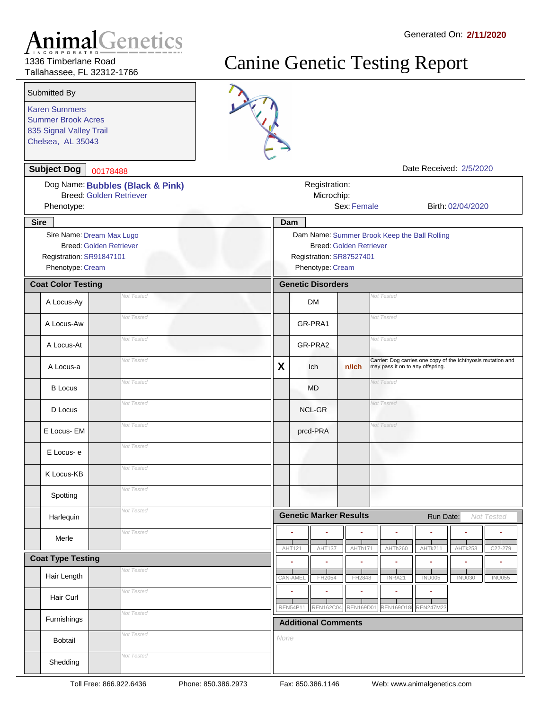1336 Timberlane Road Tallahassee, FL 32312-1766

Karen Summers

Submitted By

835 Signal Valley Trail Chelsea, AL 35043

Summer Brook Acres

| <b>Subject Dog</b>                                                                                          | 00178488                                                           |                                                                                                                                |                                                                   |                  | Date Received: 2/5/2020                                                                          |                                |  |
|-------------------------------------------------------------------------------------------------------------|--------------------------------------------------------------------|--------------------------------------------------------------------------------------------------------------------------------|-------------------------------------------------------------------|------------------|--------------------------------------------------------------------------------------------------|--------------------------------|--|
| Phenotype:                                                                                                  | Dog Name: Bubbles (Black & Pink)<br><b>Breed: Golden Retriever</b> |                                                                                                                                | Registration:<br>Microchip:                                       | Sex: Female      |                                                                                                  | Birth: 02/04/2020              |  |
| <b>Sire</b>                                                                                                 |                                                                    |                                                                                                                                | Dam                                                               |                  |                                                                                                  |                                |  |
| Sire Name: Dream Max Lugo<br><b>Breed: Golden Retriever</b><br>Registration: SR91847101<br>Phenotype: Cream |                                                                    | Dam Name: Summer Brook Keep the Ball Rolling<br><b>Breed: Golden Retriever</b><br>Registration: SR87527401<br>Phenotype: Cream |                                                                   |                  |                                                                                                  |                                |  |
| <b>Coat Color Testing</b>                                                                                   |                                                                    |                                                                                                                                | <b>Genetic Disorders</b>                                          |                  |                                                                                                  |                                |  |
| A Locus-Ay                                                                                                  | <b>Vot Tested</b>                                                  |                                                                                                                                | <b>DM</b>                                                         |                  | Vot Tested                                                                                       |                                |  |
| A Locus-Aw                                                                                                  | Vot Tested                                                         |                                                                                                                                | GR-PRA1                                                           |                  | <b>Not Tested</b>                                                                                |                                |  |
| A Locus-At                                                                                                  | <b>Not Tested</b>                                                  |                                                                                                                                | GR-PRA2                                                           |                  | Not Tested                                                                                       |                                |  |
| A Locus-a                                                                                                   | Vot Tested                                                         | X                                                                                                                              | Ich                                                               | n/Ich            | Carrier: Dog carries one copy of the Ichthyosis mutation and<br>may pass it on to any offspring. |                                |  |
| <b>B</b> Locus                                                                                              | Vot Tested                                                         |                                                                                                                                | MD                                                                |                  | <b>Not Tested</b>                                                                                |                                |  |
| D Locus                                                                                                     | <b>Not Tested</b>                                                  |                                                                                                                                | NCL-GR                                                            |                  | <b>Not Tested</b>                                                                                |                                |  |
| E Locus- EM                                                                                                 | Vot Tested                                                         |                                                                                                                                | <b>Not Tested</b><br>prcd-PRA                                     |                  |                                                                                                  |                                |  |
| E Locus-e                                                                                                   | <b>Not Tested</b>                                                  |                                                                                                                                |                                                                   |                  |                                                                                                  |                                |  |
| K Locus-KB                                                                                                  | <b>Not Tested</b>                                                  |                                                                                                                                |                                                                   |                  |                                                                                                  |                                |  |
| Spotting                                                                                                    | Vot Tested                                                         |                                                                                                                                |                                                                   |                  |                                                                                                  |                                |  |
| Harlequin                                                                                                   | <b>Vot Tested</b>                                                  |                                                                                                                                | <b>Genetic Marker Results</b>                                     |                  | Run Date:                                                                                        | Not Tested                     |  |
| Merle                                                                                                       | <b>Not Tested</b>                                                  |                                                                                                                                | AHT121<br><b>AHT137</b>                                           | AHTh171          | AHTh260<br>AHTk211                                                                               | AHTk253<br>C22-279             |  |
| <b>Coat Type Testing</b>                                                                                    |                                                                    |                                                                                                                                |                                                                   |                  |                                                                                                  |                                |  |
| Hair Length                                                                                                 | <b>Vot Tested</b>                                                  |                                                                                                                                | CAN-AMEL<br>FH2054                                                | FH2848           | INRA21<br><b>INU005</b>                                                                          | <b>INU030</b><br><b>INU055</b> |  |
| Hair Curl                                                                                                   | <b>Vot Tested</b>                                                  |                                                                                                                                | ×<br>٠                                                            | ٠                | ٠<br>٠                                                                                           |                                |  |
| Furnishings                                                                                                 | <b>Vot Tested</b>                                                  |                                                                                                                                | <b>REN162C04</b><br><b>REN54P11</b><br><b>Additional Comments</b> | <b>REN169D01</b> | <b>REN247M23</b><br>REN169O18                                                                    |                                |  |
| Bobtail                                                                                                     | <b>Vot Tested</b>                                                  | None                                                                                                                           |                                                                   |                  |                                                                                                  |                                |  |
| Shedding                                                                                                    | <b>Vot Tested</b>                                                  |                                                                                                                                |                                                                   |                  |                                                                                                  |                                |  |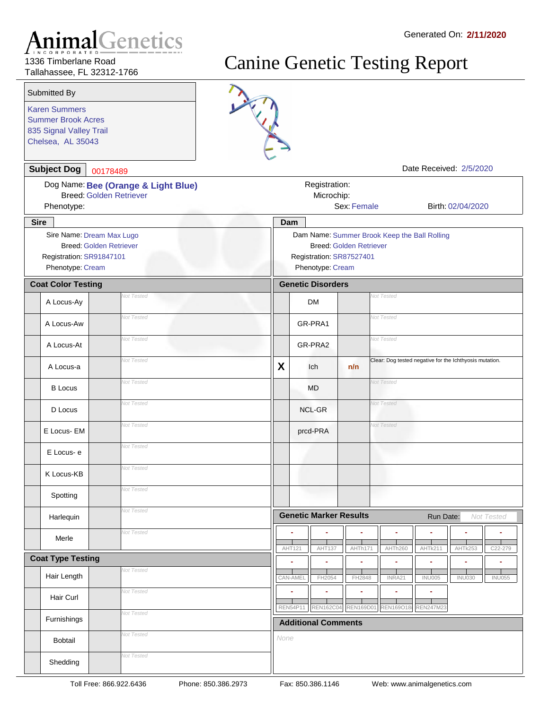1336 Timberlane Road Tallahassee, FL 32312-1766

Karen Summers

Submitted By

835 Signal Valley Trail Chelsea, AL 35043

Summer Brook Acres



| <b>Subject Dog</b>                                                                                          | 00178489                                                                                                                       |      |                                        |                       |                                                         | Date Received: 2/5/2020 |                   |               |
|-------------------------------------------------------------------------------------------------------------|--------------------------------------------------------------------------------------------------------------------------------|------|----------------------------------------|-----------------------|---------------------------------------------------------|-------------------------|-------------------|---------------|
| Phenotype:                                                                                                  | Dog Name: Bee (Orange & Light Blue)<br><b>Breed: Golden Retriever</b>                                                          |      | Registration:<br>Microchip:            | Sex: Female           |                                                         |                         | Birth: 02/04/2020 |               |
| <b>Sire</b>                                                                                                 |                                                                                                                                |      | Dam                                    |                       |                                                         |                         |                   |               |
| Sire Name: Dream Max Lugo<br><b>Breed: Golden Retriever</b><br>Registration: SR91847101<br>Phenotype: Cream | Dam Name: Summer Brook Keep the Ball Rolling<br><b>Breed: Golden Retriever</b><br>Registration: SR87527401<br>Phenotype: Cream |      |                                        |                       |                                                         |                         |                   |               |
| <b>Coat Color Testing</b>                                                                                   |                                                                                                                                |      | <b>Genetic Disorders</b>               |                       |                                                         |                         |                   |               |
| A Locus-Ay                                                                                                  | Vot Tested                                                                                                                     |      | <b>DM</b>                              |                       | Vot Tested                                              |                         |                   |               |
| A Locus-Aw                                                                                                  | Not Tested                                                                                                                     |      | GR-PRA1                                |                       | <b>Not Tested</b>                                       |                         |                   |               |
| A Locus-At                                                                                                  | <b>Vot Tested</b>                                                                                                              |      | GR-PRA2                                |                       | Not Tested                                              |                         |                   |               |
| A Locus-a                                                                                                   | <b>Vot Tested</b>                                                                                                              | X    | Ich                                    | n/n                   | Clear: Dog tested negative for the Ichthyosis mutation. |                         |                   |               |
| <b>B</b> Locus                                                                                              | Not Tested                                                                                                                     |      | <b>MD</b>                              |                       | Vot Tested                                              |                         |                   |               |
| D Locus                                                                                                     | <b>Vot Tested</b>                                                                                                              |      | NCL-GR                                 |                       | <b>Vot Tested</b>                                       |                         |                   |               |
| E Locus- EM                                                                                                 | Not Tested                                                                                                                     |      | prcd-PRA                               |                       | <b>Vot Tested</b>                                       |                         |                   |               |
| E Locus-e                                                                                                   | Not Tested                                                                                                                     |      |                                        |                       |                                                         |                         |                   |               |
| K Locus-KB                                                                                                  | <b>Vot Tested</b>                                                                                                              |      |                                        |                       |                                                         |                         |                   |               |
| Spotting                                                                                                    | Not Tested                                                                                                                     |      |                                        |                       |                                                         |                         |                   |               |
| Harlequin                                                                                                   | <b>Vot Tested</b>                                                                                                              |      | <b>Genetic Marker Results</b>          |                       |                                                         | Run Date:               |                   | Not Tested    |
| Merle                                                                                                       | Vot Tested                                                                                                                     |      | AHT121<br>AHT137                       | AHTh171               | AHTh260                                                 | AHTk211                 | AHTk253           | C22-279       |
| <b>Coat Type Testing</b>                                                                                    |                                                                                                                                |      |                                        |                       |                                                         |                         |                   |               |
| Hair Length                                                                                                 | Vot Tested                                                                                                                     |      | CAN-AMEL<br>FH2054                     | FH2848                | INRA21                                                  | <b>INU005</b>           | <b>INU030</b>     | <b>INU055</b> |
| Hair Curl                                                                                                   | Vot Tested                                                                                                                     |      | ×<br>۰<br>REN54P11<br><b>REN162C04</b> | ÷<br><b>REN169D01</b> | ٠<br><b>REN169O18i</b>                                  | ۰<br><b>REN247M23</b>   |                   |               |
| Furnishings                                                                                                 | <b>Vot Tested</b>                                                                                                              |      | <b>Additional Comments</b>             |                       |                                                         |                         |                   |               |
| Bobtail                                                                                                     | Vot Tested                                                                                                                     | None |                                        |                       |                                                         |                         |                   |               |
| Shedding                                                                                                    | Vot Tested                                                                                                                     |      |                                        |                       |                                                         |                         |                   |               |